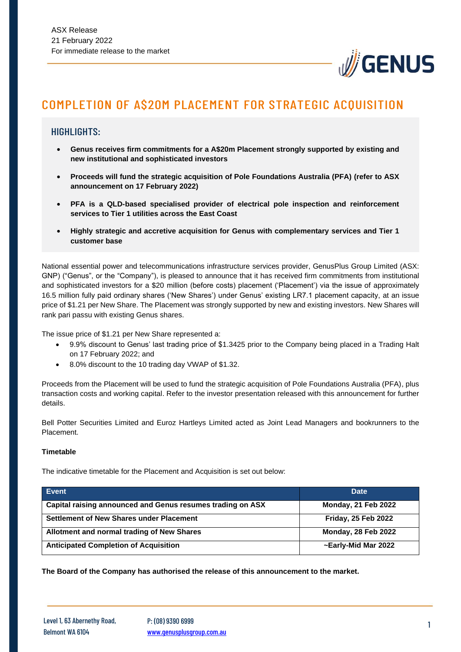

# COMPLETION OF A\$20M PLACEMENT FOR STRATEGIC ACQUISITION

### HIGHLIGHTS:

- **Genus receives firm commitments for a A\$20m Placement strongly supported by existing and new institutional and sophisticated investors**
- **Proceeds will fund the strategic acquisition of Pole Foundations Australia (PFA) (refer to ASX announcement on 17 February 2022)**
- **PFA is a QLD-based specialised provider of electrical pole inspection and reinforcement services to Tier 1 utilities across the East Coast**
- **Highly strategic and accretive acquisition for Genus with complementary services and Tier 1 customer base**

National essential power and telecommunications infrastructure services provider, GenusPlus Group Limited (ASX: GNP) ("Genus", or the "Company"), is pleased to announce that it has received firm commitments from institutional and sophisticated investors for a \$20 million (before costs) placement ('Placement') via the issue of approximately 16.5 million fully paid ordinary shares ('New Shares') under Genus' existing LR7.1 placement capacity, at an issue price of \$1.21 per New Share. The Placement was strongly supported by new and existing investors. New Shares will rank pari passu with existing Genus shares.

The issue price of \$1.21 per New Share represented a:

- 9.9% discount to Genus' last trading price of \$1.3425 prior to the Company being placed in a Trading Halt on 17 February 2022; and
- 8.0% discount to the 10 trading day VWAP of \$1.32.

Proceeds from the Placement will be used to fund the strategic acquisition of Pole Foundations Australia (PFA), plus transaction costs and working capital. Refer to the investor presentation released with this announcement for further details.

Bell Potter Securities Limited and Euroz Hartleys Limited acted as Joint Lead Managers and bookrunners to the Placement.

#### **Timetable**

The indicative timetable for the Placement and Acquisition is set out below:

| Event                                                      | <b>Date</b>                |
|------------------------------------------------------------|----------------------------|
| Capital raising announced and Genus resumes trading on ASX | <b>Monday, 21 Feb 2022</b> |
| Settlement of New Shares under Placement                   | <b>Friday, 25 Feb 2022</b> |
| Allotment and normal trading of New Shares                 | <b>Monday, 28 Feb 2022</b> |
| <b>Anticipated Completion of Acquisition</b>               | ~Early-Mid Mar 2022        |

**The Board of the Company has authorised the release of this announcement to the market.**